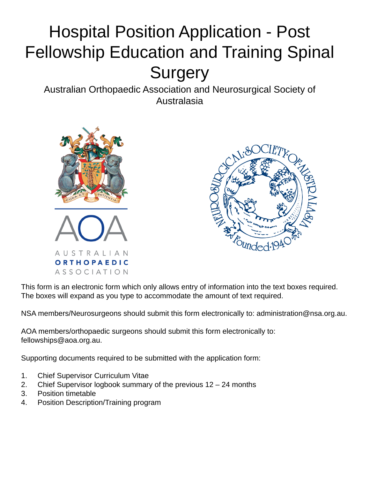# Hospital Position Application - Post Fellowship Education and Training Spinal **Surgery**

Australian Orthopaedic Association and Neurosurgical Society of Australasia





This form is an electronic form which only allows entry of information into the text boxes required. The boxes will expand as you type to accommodate the amount of text required.

NSA members/Neurosurgeons should submit this form electronically to: administration@nsa.org.au.

AOA members/orthopaedic surgeons should submit this form electronically to: fellowships@aoa.org.au.

Supporting documents required to be submitted with the application form:

- 1. Chief Supervisor Curriculum Vitae
- 2. Chief Supervisor logbook summary of the previous 12 24 months
- 3. Position timetable
- 4. Position Description/Training program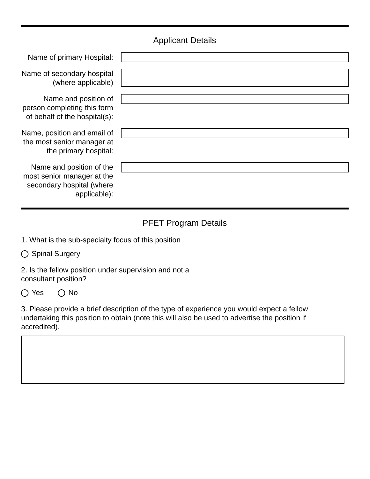## Applicant Details

| Name of primary Hospital:                                                                           |  |
|-----------------------------------------------------------------------------------------------------|--|
| Name of secondary hospital<br>(where applicable)                                                    |  |
| Name and position of<br>person completing this form<br>of behalf of the hospital(s):                |  |
| Name, position and email of<br>the most senior manager at<br>the primary hospital:                  |  |
| Name and position of the<br>most senior manager at the<br>secondary hospital (where<br>applicable): |  |

## PFET Program Details

1. What is the sub-specialty focus of this position

◯ Spinal Surgery

2. Is the fellow position under supervision and not a consultant position?

 $O$  Yes  $O$  No

3. Please provide a brief description of the type of experience you would expect a fellow undertaking this position to obtain (note this will also be used to advertise the position if accredited).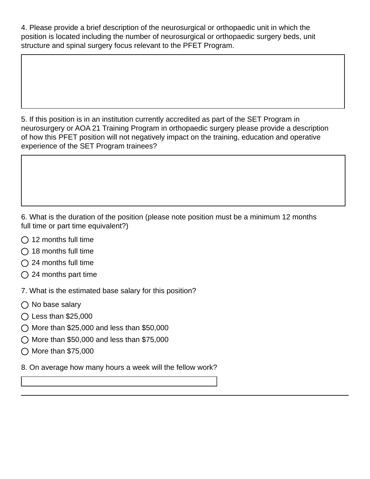4. Please provide a brief description of the neurosurgical or orthopaedic unit in which the position is located including the number of neurosurgical or orthopaedic surgery beds, unit structure and spinal surgery focus relevant to the PFET Program.

5. If this position is in an institution currently accredited as part of the SET Program in neurosurgery or AOA 21 Training Program in orthopaedic surgery please provide a description of how this PFET position will not negatively impact on the training, education and operative experience of the SET Program trainees?

6. What is the duration of the position (please note position must be a minimum 12 months full time or part time equivalent?)

- $\bigcap$  12 months full time
- $\bigcirc$  18 months full time
- $\bigcap$  24 months full time
- $\bigcirc$  24 months part time

7. What is the estimated base salary for this position?

- $\bigcirc$  No base salary
- $\bigcap$  Less than \$25,000
- $\bigcirc$  More than \$25,000 and less than \$50,000
- $\bigcirc$  More than \$50,000 and less than \$75,000
- $\bigcirc$  More than \$75,000
- 8. On average how many hours a week will the fellow work?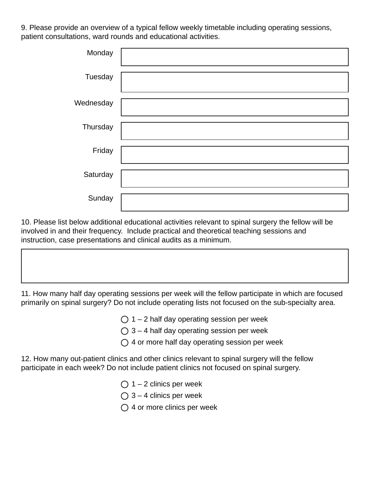9. Please provide an overview of a typical fellow weekly timetable including operating sessions, patient consultations, ward rounds and educational activities.

| Monday    |  |
|-----------|--|
| Tuesday   |  |
| Wednesday |  |
| Thursday  |  |
| Friday    |  |
| Saturday  |  |
| Sunday    |  |

10. Please list below additional educational activities relevant to spinal surgery the fellow will be involved in and their frequency. Include practical and theoretical teaching sessions and instruction, case presentations and clinical audits as a minimum.

11. How many half day operating sessions per week will the fellow participate in which are focused primarily on spinal surgery? Do not include operating lists not focused on the sub-specialty area.

- $\bigcirc$  1 2 half day operating session per week
- $\bigcirc$  3 4 half day operating session per week
- $\bigcirc$  4 or more half day operating session per week

12. How many out-patient clinics and other clinics relevant to spinal surgery will the fellow participate in each week? Do not include patient clinics not focused on spinal surgery.

- $\bigcirc$  1 2 clinics per week
- $\bigcirc$  3 4 clinics per week
- $\bigcirc$  4 or more clinics per week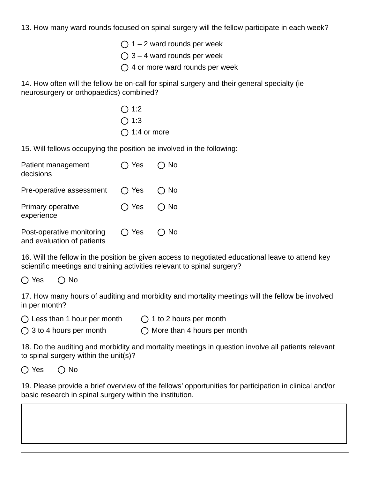13. How many ward rounds focused on spinal surgery will the fellow participate in each week?

- $\bigcap$  1 2 ward rounds per week
- $\bigcap$  3 4 ward rounds per week
- $\bigcap$  4 or more ward rounds per week

14. How often will the fellow be on-call for spinal surgery and their general specialty (ie neurosurgery or orthopaedics) combined?

> $\bigcirc$  1:2  $\bigcap$  1:3  $\bigcap$  1:4 or more

15. Will fellows occupying the position be involved in the following:

| Patient management<br>decisions                         | ◯ Yes          | No.       |
|---------------------------------------------------------|----------------|-----------|
| Pre-operative assessment                                | $\bigcirc$ Yes | No.       |
| Primary operative<br>experience                         | $\bigcap$ Yes  | <b>No</b> |
| Post-operative monitoring<br>and evaluation of patients | $\bigcap$ Yes  | No.       |

16. Will the fellow in the position be given access to negotiated educational leave to attend key scientific meetings and training activities relevant to spinal surgery?

 $\bigcap$  Yes  $\bigcap$  No

17. How many hours of auditing and morbidity and mortality meetings will the fellow be involved in per month?

 $\bigcirc$  Less than 1 hour per month  $\bigcirc$  1 to 2 hours per month

 $\bigcap$  3 to 4 hours per month  $\bigcap$  More than 4 hours per month

18. Do the auditing and morbidity and mortality meetings in question involve all patients relevant to spinal surgery within the unit(s)?

 $\bigcap$  Yes  $\bigcap$  No

19. Please provide a brief overview of the fellows' opportunities for participation in clinical and/or basic research in spinal surgery within the institution.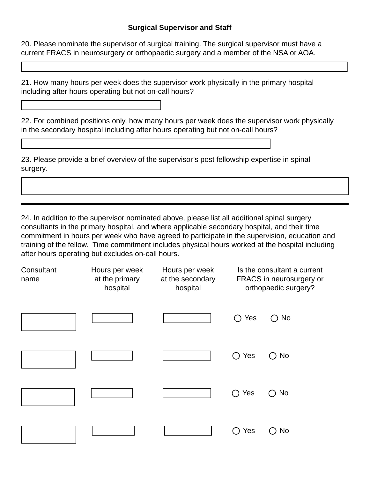#### **Surgical Supervisor and Staff**

20. Please nominate the supervisor of surgical training. The surgical supervisor must have a current FRACS in neurosurgery or orthopaedic surgery and a member of the NSA or AOA.

21. How many hours per week does the supervisor work physically in the primary hospital including after hours operating but not on-call hours?

22. For combined positions only, how many hours per week does the supervisor work physically in the secondary hospital including after hours operating but not on-call hours?

23. Please provide a brief overview of the supervisor's post fellowship expertise in spinal surgery.

24. In addition to the supervisor nominated above, please list all additional spinal surgery consultants in the primary hospital, and where applicable secondary hospital, and their time commitment in hours per week who have agreed to participate in the supervision, education and training of the fellow. Time commitment includes physical hours worked at the hospital including after hours operating but excludes on-call hours.

| Consultant<br>name | Hours per week<br>at the primary<br>hospital | Hours per week<br>at the secondary<br>hospital | Is the consultant a current<br>FRACS in neurosurgery or<br>orthopaedic surgery? |               |
|--------------------|----------------------------------------------|------------------------------------------------|---------------------------------------------------------------------------------|---------------|
|                    |                                              |                                                | Yes<br>$\Box$                                                                   | $\bigcirc$ No |
|                    |                                              |                                                | Yes                                                                             | No            |
|                    |                                              |                                                | Yes                                                                             | $\bigcirc$ No |
|                    |                                              |                                                | Yes                                                                             | No            |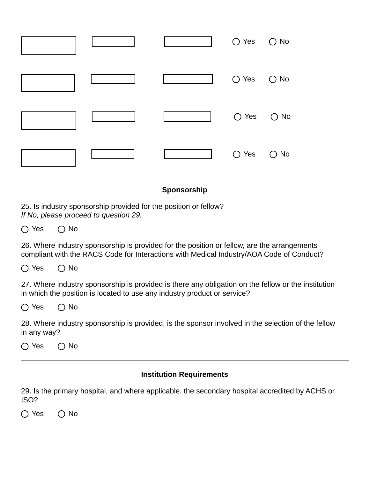|  | ○ Yes ○ No |  |
|--|------------|--|
|  | ○ Yes ○ No |  |
|  | ○ Yes ○ No |  |
|  | ○ Yes ○ No |  |

#### **Sponsorship**

25. Is industry sponsorship provided for the position or fellow? *If No, please proceed to question 29.*

 $\bigcap$  Yes  $\bigcap$  No

26. Where industry sponsorship is provided for the position or fellow, are the arrangements compliant with the RACS Code for Interactions with Medical Industry/AOA Code of Conduct?

 $\bigcap$  Yes  $\bigcap$  No

27. Where industry sponsorship is provided is there any obligation on the fellow or the institution in which the position is located to use any industry product or service?

 $O$  Yes  $O$  No

28. Where industry sponsorship is provided, is the sponsor involved in the selection of the fellow in any way?

 $\bigcap$  Yes  $\bigcap$  No

#### **Institution Requirements**

29. Is the primary hospital, and where applicable, the secondary hospital accredited by ACHS or ISO?

 $\bigcap$  Yes  $\bigcap$  No